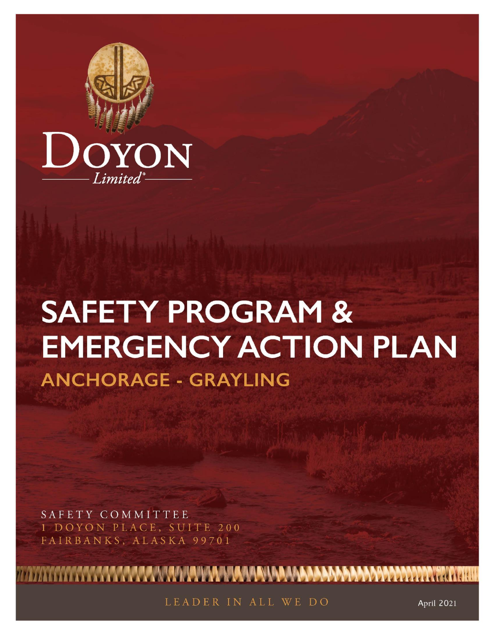

# **SAFETY PROGRAM & EMERGENCY ACTION PLAN ANCHORAGE - GRAYLING**

SAFETY COMMITTEE 1 DOYON PLACE, SUITE 200 FAIRBANKS, ALASKA 99701

LEADER IN ALL WE DO

**™™™™™™™™™™™™™™™™™™™™** 

**April 2021**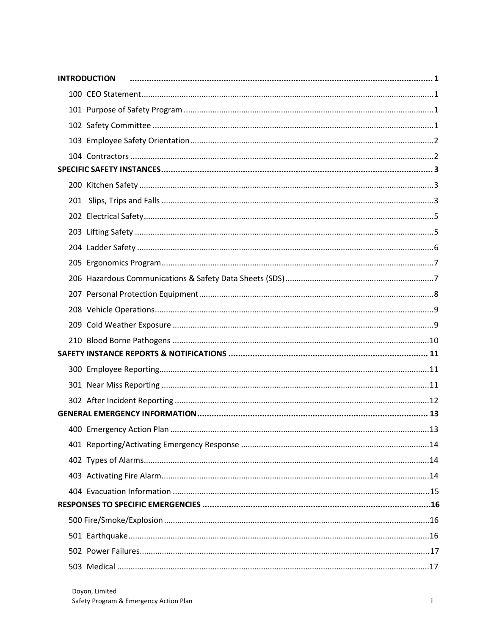|  | <b>INTRODUCTION</b> |
|--|---------------------|
|  |                     |
|  |                     |
|  |                     |
|  |                     |
|  |                     |
|  |                     |
|  |                     |
|  |                     |
|  |                     |
|  |                     |
|  |                     |
|  |                     |
|  |                     |
|  |                     |
|  |                     |
|  |                     |
|  |                     |
|  |                     |
|  |                     |
|  |                     |
|  |                     |
|  |                     |
|  |                     |
|  |                     |
|  |                     |
|  |                     |
|  |                     |
|  |                     |
|  |                     |
|  |                     |
|  |                     |
|  |                     |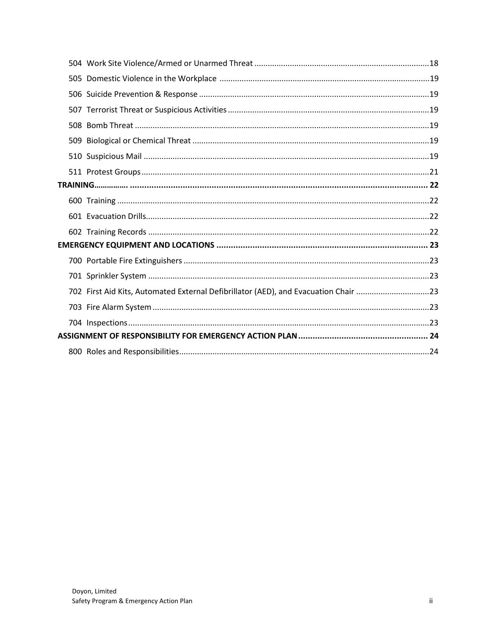| 702 First Aid Kits, Automated External Defibrillator (AED), and Evacuation Chair 23 |  |
|-------------------------------------------------------------------------------------|--|
|                                                                                     |  |
|                                                                                     |  |
|                                                                                     |  |
|                                                                                     |  |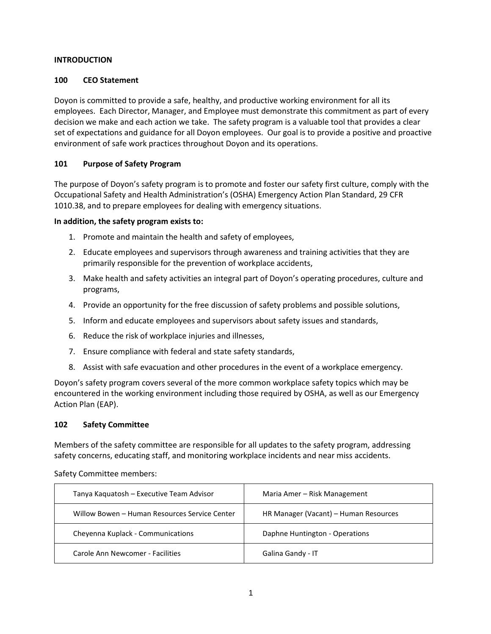#### <span id="page-3-0"></span>**INTRODUCTION**

#### <span id="page-3-1"></span>**100 CEO Statement**

Doyon is committed to provide a safe, healthy, and productive working environment for all its employees. Each Director, Manager, and Employee must demonstrate this commitment as part of every decision we make and each action we take. The safety program is a valuable tool that provides a clear set of expectations and guidance for all Doyon employees. Our goal is to provide a positive and proactive environment of safe work practices throughout Doyon and its operations.

#### <span id="page-3-2"></span>**101 Purpose of Safety Program**

The purpose of Doyon's safety program is to promote and foster our safety first culture, comply with the Occupational Safety and Health Administration's (OSHA) Emergency Action Plan Standard, 29 CFR 1010.38, and to prepare employees for dealing with emergency situations.

#### **In addition, the safety program exists to:**

- 1. Promote and maintain the health and safety of employees,
- 2. Educate employees and supervisors through awareness and training activities that they are primarily responsible for the prevention of workplace accidents,
- 3. Make health and safety activities an integral part of Doyon's operating procedures, culture and programs,
- 4. Provide an opportunity for the free discussion of safety problems and possible solutions,
- 5. Inform and educate employees and supervisors about safety issues and standards,
- 6. Reduce the risk of workplace injuries and illnesses,
- 7. Ensure compliance with federal and state safety standards,
- 8. Assist with safe evacuation and other procedures in the event of a workplace emergency.

Doyon's safety program covers several of the more common workplace safety topics which may be encountered in the working environment including those required by OSHA, as well as our Emergency Action Plan (EAP).

#### <span id="page-3-3"></span>**102 Safety Committee**

Members of the safety committee are responsible for all updates to the safety program, addressing safety concerns, educating staff, and monitoring workplace incidents and near miss accidents.

| Tanya Kaquatosh - Executive Team Advisor      | Maria Amer – Risk Management          |
|-----------------------------------------------|---------------------------------------|
| Willow Bowen - Human Resources Service Center | HR Manager (Vacant) - Human Resources |
| Cheyenna Kuplack - Communications             | Daphne Huntington - Operations        |
| Carole Ann Newcomer - Facilities              | Galina Gandy - IT                     |

Safety Committee members: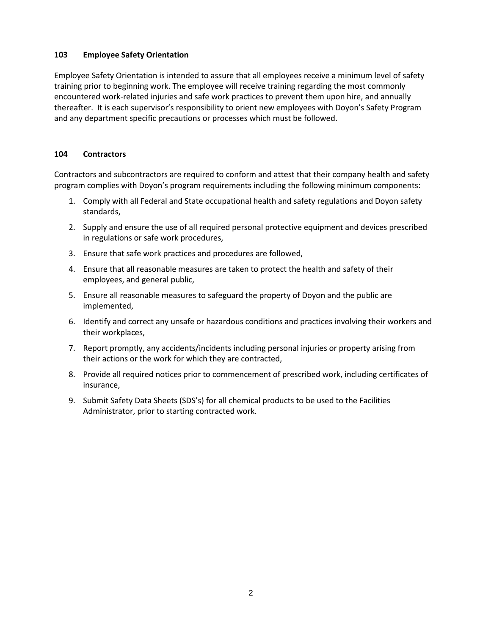#### <span id="page-4-0"></span>**103 Employee Safety Orientation**

Employee Safety Orientation is intended to assure that all employees receive a minimum level of safety training prior to beginning work. The employee will receive training regarding the most commonly encountered work-related injuries and safe work practices to prevent them upon hire, and annually thereafter. It is each supervisor's responsibility to orient new employees with Doyon's Safety Program and any department specific precautions or processes which must be followed.

# <span id="page-4-1"></span>**104 Contractors**

Contractors and subcontractors are required to conform and attest that their company health and safety program complies with Doyon's program requirements including the following minimum components:

- 1. Comply with all Federal and State occupational health and safety regulations and Doyon safety standards,
- 2. Supply and ensure the use of all required personal protective equipment and devices prescribed in regulations or safe work procedures,
- 3. Ensure that safe work practices and procedures are followed,
- 4. Ensure that all reasonable measures are taken to protect the health and safety of their employees, and general public,
- 5. Ensure all reasonable measures to safeguard the property of Doyon and the public are implemented,
- 6. Identify and correct any unsafe or hazardous conditions and practices involving their workers and their workplaces,
- 7. Report promptly, any accidents/incidents including personal injuries or property arising from their actions or the work for which they are contracted,
- 8. Provide all required notices prior to commencement of prescribed work, including certificates of insurance,
- 9. Submit Safety Data Sheets (SDS's) for all chemical products to be used to the Facilities Administrator, prior to starting contracted work.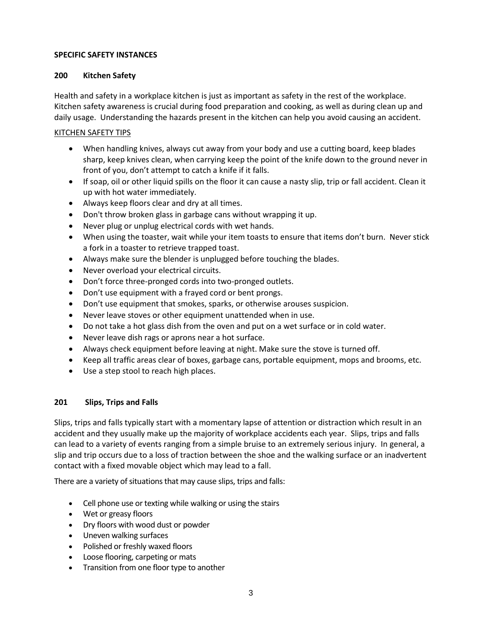#### <span id="page-5-0"></span>**SPECIFIC SAFETY INSTANCES**

#### <span id="page-5-1"></span>**200 Kitchen Safety**

Health and safety in a workplace kitchen is just as important as safety in the rest of the workplace. Kitchen safety awareness is crucial during food preparation and cooking, as well as during clean up and daily usage. Understanding the hazards present in the kitchen can help you avoid causing an accident.

#### KITCHEN SAFETY TIPS

- When handling knives, always cut away from your body and use a cutting board, keep blades sharp, keep knives clean, when carrying keep the point of the knife down to the ground never in front of you, don't attempt to catch a knife if it falls.
- If soap, oil or other liquid spills on the floor it can cause a nasty slip, trip or fall accident. Clean it up with hot water immediately.
- Always keep floors clear and dry at all times.
- Don't throw broken glass in garbage cans without wrapping it up.
- Never plug or unplug electrical cords with wet hands.
- When using the toaster, wait while your item toasts to ensure that items don't burn. Never stick a fork in a toaster to retrieve trapped toast.
- Always make sure the blender is unplugged before touching the blades.
- Never overload your electrical circuits.
- Don't force three-pronged cords into two-pronged outlets.
- Don't use equipment with a frayed cord or bent prongs.
- Don't use equipment that smokes, sparks, or otherwise arouses suspicion.
- Never leave stoves or other equipment unattended when in use.
- Do not take a hot glass dish from the oven and put on a wet surface or in cold water.
- Never leave dish rags or aprons near a hot surface.
- Always check equipment before leaving at night. Make sure the stove is turned off.
- Keep all traffic areas clear of boxes, garbage cans, portable equipment, mops and brooms, etc.
- Use a step stool to reach high places.

#### <span id="page-5-2"></span>**201 Slips, Trips and Falls**

Slips, trips and falls typically start with a momentary lapse of attention or distraction which result in an accident and they usually make up the majority of workplace accidents each year. Slips, trips and falls can lead to a variety of events ranging from a simple bruise to an extremely serious injury. In general, a slip and trip occurs due to a loss of traction between the shoe and the walking surface or an inadvertent contact with a fixed movable object which may lead to a fall.

There are a variety of situations that may cause slips, trips and falls:

- Cell phone use or texting while walking or using the stairs
- Wet or greasy floors
- Dry floors with wood dust or powder
- Uneven walking surfaces
- Polished or freshly waxed floors
- Loose flooring, carpeting or mats
- Transition from one floor type to another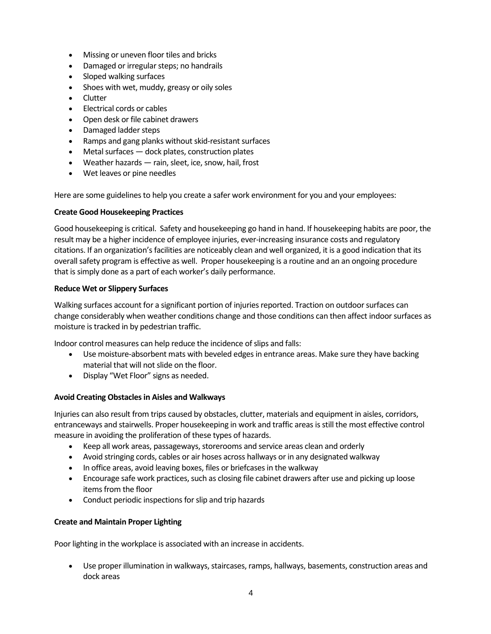- Missing or uneven floor tiles and bricks
- Damaged or irregular steps; no handrails
- Sloped walking surfaces
- Shoes with wet, muddy, greasy or oily soles
- Clutter
- Electrical cords or cables
- Open desk or file cabinet drawers
- Damaged ladder steps
- Ramps and gang planks without skid-resistant surfaces
- Metal surfaces  $-$  dock plates, construction plates
- Weather hazards rain, sleet, ice, snow, hail, frost
- Wet leaves or pine needles

Here are some guidelines to help you create a safer work environment for you and your employees:

#### **Create Good Housekeeping Practices**

Good housekeeping is critical. Safety and housekeeping go hand in hand. If housekeeping habits are poor, the result may be a higher incidence of employee injuries, ever-increasing insurance costs and regulatory citations. If an organization's facilities are noticeably clean and well organized, it is a good indication that its overall safety program is effective as well. Proper housekeeping is a routine and an an ongoing procedure that is simply done as a part of each worker's daily performance.

#### **Reduce Wet or Slippery Surfaces**

Walking surfaces account for a significant portion of injuries reported. Traction on outdoor surfaces can change considerably when weather conditions change and those conditions can then affect indoor surfaces as moisture is tracked in by pedestrian traffic.

Indoor control measures can help reduce the incidence of slips and falls:

- Use moisture-absorbent mats with beveled edges in entrance areas. Make sure they have backing material that will not slide on the floor.
- Display "Wet Floor" signs as needed.

#### **Avoid Creating Obstacles in Aisles and Walkways**

Injuries can also result from trips caused by obstacles, clutter, materials and equipment in aisles, corridors, entranceways and stairwells. Proper housekeeping in work and traffic areas is still the most effective control measure in avoiding the proliferation of these types of hazards.

- Keep all work areas, passageways, storerooms and service areas clean and orderly
- Avoid stringing cords, cables or air hoses across hallways or in any designated walkway
- In office areas, avoid leaving boxes, files or briefcases in the walkway
- Encourage safe work practices, such as closing file cabinet drawers after use and picking up loose items from the floor
- Conduct periodic inspections for slip and trip hazards

#### **Create and Maintain Proper Lighting**

Poor lighting in the workplace is associated with an increase in accidents.

• Use proper illumination in walkways, staircases, ramps, hallways, basements, construction areas and dock areas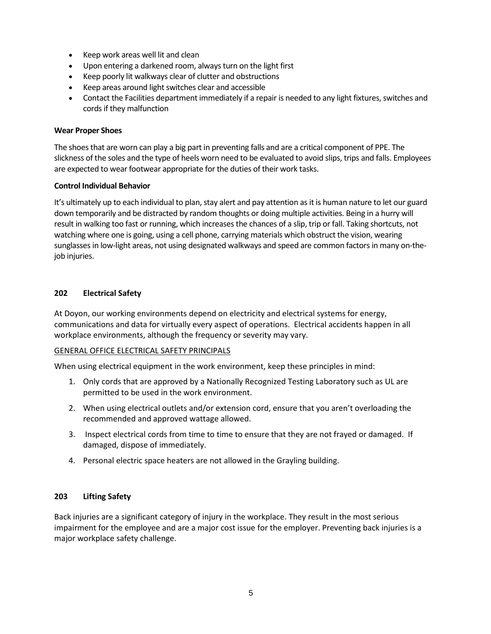- Keep work areas well lit and clean
- Upon entering a darkened room, always turn on the light first
- Keep poorly lit walkways clear of clutter and obstructions
- Keep areas around light switches clear and accessible
- Contact the Facilities department immediately if a repair is needed to any light fixtures, switches and cords if they malfunction

#### **Wear Proper Shoes**

The shoes that are worn can play a big part in preventing falls and are a critical component of PPE. The slickness of the soles and the type of heels worn need to be evaluated to avoid slips, trips and falls. Employees are expected to wear footwear appropriate for the duties of their work tasks.

#### **Control Individual Behavior**

It's ultimately up to each individual to plan, stay alert and pay attention as it is human nature to let our guard down temporarily and be distracted by random thoughts or doing multiple activities. Being in a hurry will result in walking too fast or running, which increases the chances of a slip, trip or fall. Taking shortcuts, not watching where one is going, using a cell phone, carrying materials which obstruct the vision, wearing sunglasses in low-light areas, not using designated walkways and speed are common factors in many on-thejob injuries.

#### <span id="page-7-0"></span>**202 Electrical Safety**

At Doyon, our working environments depend on electricity and electrical systems for energy, communications and data for virtually every aspect of operations. Electrical accidents happen in all workplace environments, although the frequency or severity may vary.

#### GENERAL OFFICE ELECTRICAL SAFETY PRINCIPALS

When using electrical equipment in the work environment, keep these principles in mind:

- 1. Only cords that are approved by a Nationally Recognized Testing Laboratory such as UL are permitted to be used in the work environment.
- 2. When using electrical outlets and/or extension cord, ensure that you aren't overloading the recommended and approved wattage allowed.
- 3. Inspect electrical cords from time to time to ensure that they are not frayed or damaged. If damaged, dispose of immediately.
- 4. Personal electric space heaters are not allowed in the Grayling building.

#### <span id="page-7-1"></span>**203 Lifting Safety**

Back injuries are a significant category of injury in the workplace. They result in the most serious impairment for the employee and are a major cost issue for the employer. Preventing back injuries is a major workplace safety challenge.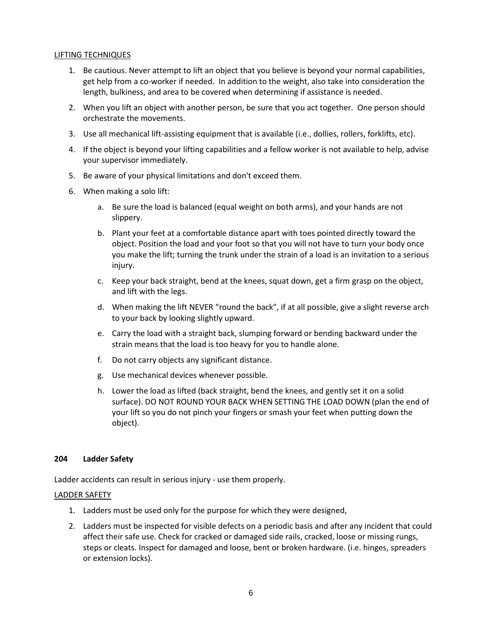#### LIFTING TECHNIQUES

- 1. Be cautious. Never attempt to lift an object that you believe is beyond your normal capabilities, get help from a co-worker if needed. In addition to the weight, also take into consideration the length, bulkiness, and area to be covered when determining if assistance is needed.
- 2. When you lift an object with another person, be sure that you act together. One person should orchestrate the movements.
- 3. Use all mechanical lift-assisting equipment that is available (i.e., dollies, rollers, forklifts, etc).
- 4. If the object is beyond your lifting capabilities and a fellow worker is not available to help, advise your supervisor immediately.
- 5. Be aware of your physical limitations and don't exceed them.
- 6. When making a solo lift:
	- a. Be sure the load is balanced (equal weight on both arms), and your hands are not slippery.
	- b. Plant your feet at a comfortable distance apart with toes pointed directly toward the object. Position the load and your foot so that you will not have to turn your body once you make the lift; turning the trunk under the strain of a load is an invitation to a serious injury.
	- c. Keep your back straight, bend at the knees, squat down, get a firm grasp on the object, and lift with the legs.
	- d. When making the lift NEVER "round the back", if at all possible, give a slight reverse arch to your back by looking slightly upward.
	- e. Carry the load with a straight back, slumping forward or bending backward under the strain means that the load is too heavy for you to handle alone.
	- f. Do not carry objects any significant distance.
	- g. Use mechanical devices whenever possible.
	- h. Lower the load as lifted (back straight, bend the knees, and gently set it on a solid surface). DO NOT ROUND YOUR BACK WHEN SETTING THE LOAD DOWN (plan the end of your lift so you do not pinch your fingers or smash your feet when putting down the object).

#### <span id="page-8-0"></span>**204 Ladder Safety**

Ladder accidents can result in serious injury - use them properly.

#### LADDER SAFETY

- 1. Ladders must be used only for the purpose for which they were designed,
- 2. Ladders must be inspected for visible defects on a periodic basis and after any incident that could affect their safe use. Check for cracked or damaged side rails, cracked, loose or missing rungs, steps or cleats. Inspect for damaged and loose, bent or broken hardware. (i.e. hinges, spreaders or extension locks).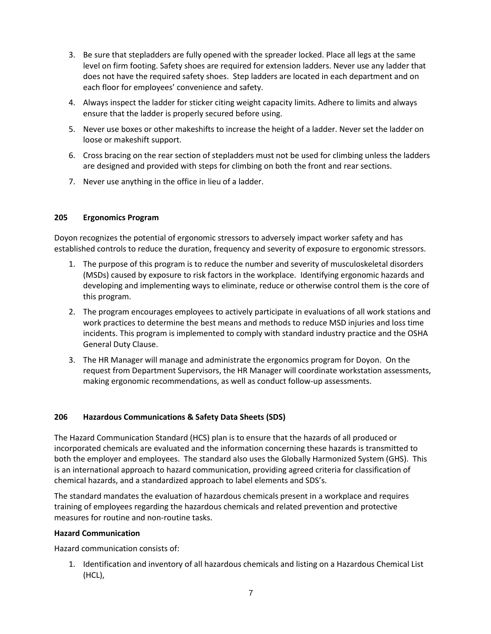- 3. Be sure that stepladders are fully opened with the spreader locked. Place all legs at the same level on firm footing. Safety shoes are required for extension ladders. Never use any ladder that does not have the required safety shoes. Step ladders are located in each department and on each floor for employees' convenience and safety.
- 4. Always inspect the ladder for sticker citing weight capacity limits. Adhere to limits and always ensure that the ladder is properly secured before using.
- 5. Never use boxes or other makeshifts to increase the height of a ladder. Never set the ladder on loose or makeshift support.
- 6. Cross bracing on the rear section of stepladders must not be used for climbing unless the ladders are designed and provided with steps for climbing on both the front and rear sections.
- 7. Never use anything in the office in lieu of a ladder.

#### <span id="page-9-0"></span>**205 Ergonomics Program**

Doyon recognizes the potential of ergonomic stressors to adversely impact worker safety and has established controls to reduce the duration, frequency and severity of exposure to ergonomic stressors.

- 1. The purpose of this program is to reduce the number and severity of musculoskeletal disorders (MSDs) caused by exposure to risk factors in the workplace. Identifying ergonomic hazards and developing and implementing ways to eliminate, reduce or otherwise control them is the core of this program.
- 2. The program encourages employees to actively participate in evaluations of all work stations and work practices to determine the best means and methods to reduce MSD injuries and loss time incidents. This program is implemented to comply with standard industry practice and the OSHA General Duty Clause.
- 3. The HR Manager will manage and administrate the ergonomics program for Doyon. On the request from Department Supervisors, the HR Manager will coordinate workstation assessments, making ergonomic recommendations, as well as conduct follow-up assessments.

#### <span id="page-9-1"></span>**206 Hazardous Communications & Safety Data Sheets (SDS)**

The Hazard Communication Standard (HCS) plan is to ensure that the hazards of all produced or incorporated chemicals are evaluated and the information concerning these hazards is transmitted to both the employer and employees. The standard also uses the Globally Harmonized System (GHS). This is an international approach to hazard communication, providing agreed criteria for classification of chemical hazards, and a standardized approach to label elements and SDS's.

The standard mandates the evaluation of hazardous chemicals present in a workplace and requires training of employees regarding the hazardous chemicals and related prevention and protective measures for routine and non-routine tasks.

# **Hazard Communication**

Hazard communication consists of:

1. Identification and inventory of all hazardous chemicals and listing on a Hazardous Chemical List (HCL),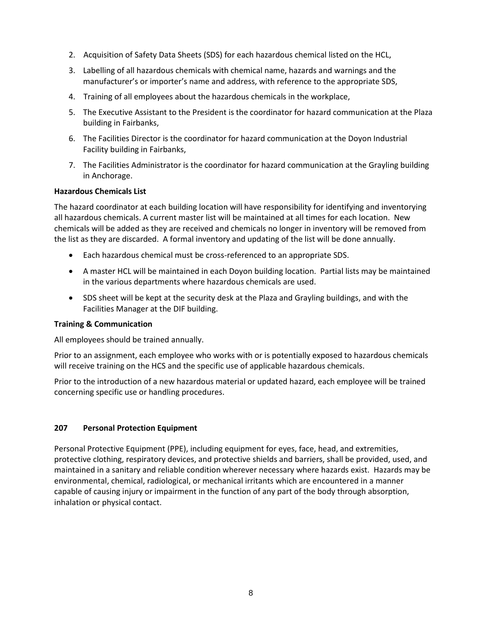- 2. Acquisition of Safety Data Sheets (SDS) for each hazardous chemical listed on the HCL,
- 3. Labelling of all hazardous chemicals with chemical name, hazards and warnings and the manufacturer's or importer's name and address, with reference to the appropriate SDS,
- 4. Training of all employees about the hazardous chemicals in the workplace,
- 5. The Executive Assistant to the President is the coordinator for hazard communication at the Plaza building in Fairbanks,
- 6. The Facilities Director is the coordinator for hazard communication at the Doyon Industrial Facility building in Fairbanks,
- 7. The Facilities Administrator is the coordinator for hazard communication at the Grayling building in Anchorage.

#### **Hazardous Chemicals List**

The hazard coordinator at each building location will have responsibility for identifying and inventorying all hazardous chemicals. A current master list will be maintained at all times for each location. New chemicals will be added as they are received and chemicals no longer in inventory will be removed from the list as they are discarded. A formal inventory and updating of the list will be done annually.

- Each hazardous chemical must be cross-referenced to an appropriate SDS.
- A master HCL will be maintained in each Doyon building location. Partial lists may be maintained in the various departments where hazardous chemicals are used.
- SDS sheet will be kept at the security desk at the Plaza and Grayling buildings, and with the Facilities Manager at the DIF building.

#### **Training & Communication**

All employees should be trained annually.

Prior to an assignment, each employee who works with or is potentially exposed to hazardous chemicals will receive training on the HCS and the specific use of applicable hazardous chemicals.

Prior to the introduction of a new hazardous material or updated hazard, each employee will be trained concerning specific use or handling procedures.

#### <span id="page-10-0"></span>**207 Personal Protection Equipment**

Personal Protective Equipment (PPE), including equipment for eyes, face, head, and extremities, protective clothing, respiratory devices, and protective shields and barriers, shall be provided, used, and maintained in a sanitary and reliable condition wherever necessary where hazards exist. Hazards may be environmental, chemical, radiological, or mechanical irritants which are encountered in a manner capable of causing injury or impairment in the function of any part of the body through absorption, inhalation or physical contact.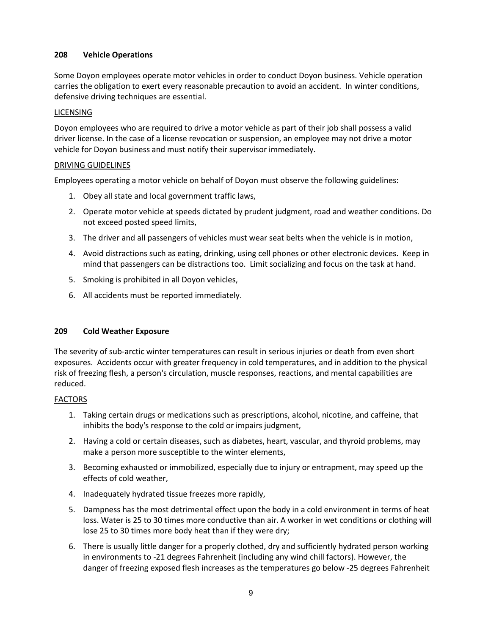# <span id="page-11-0"></span>**208 Vehicle Operations**

Some Doyon employees operate motor vehicles in order to conduct Doyon business. Vehicle operation carries the obligation to exert every reasonable precaution to avoid an accident. In winter conditions, defensive driving techniques are essential.

## LICENSING

Doyon employees who are required to drive a motor vehicle as part of their job shall possess a valid driver license. In the case of a license revocation or suspension, an employee may not drive a motor vehicle for Doyon business and must notify their supervisor immediately.

# DRIVING GUIDELINES

Employees operating a motor vehicle on behalf of Doyon must observe the following guidelines:

- 1. Obey all state and local government traffic laws,
- 2. Operate motor vehicle at speeds dictated by prudent judgment, road and weather conditions. Do not exceed posted speed limits,
- 3. The driver and all passengers of vehicles must wear seat belts when the vehicle is in motion,
- 4. Avoid distractions such as eating, drinking, using cell phones or other electronic devices. Keep in mind that passengers can be distractions too. Limit socializing and focus on the task at hand.
- 5. Smoking is prohibited in all Doyon vehicles,
- 6. All accidents must be reported immediately.

#### <span id="page-11-1"></span>**209 Cold Weather Exposure**

The severity of sub-arctic winter temperatures can result in serious injuries or death from even short exposures. Accidents occur with greater frequency in cold temperatures, and in addition to the physical risk of freezing flesh, a person's circulation, muscle responses, reactions, and mental capabilities are reduced.

#### FACTORS

- 1. Taking certain drugs or medications such as prescriptions, alcohol, nicotine, and caffeine, that inhibits the body's response to the cold or impairs judgment,
- 2. Having a cold or certain diseases, such as diabetes, heart, vascular, and thyroid problems, may make a person more susceptible to the winter elements,
- 3. Becoming exhausted or immobilized, especially due to injury or entrapment, may speed up the effects of cold weather,
- 4. Inadequately hydrated tissue freezes more rapidly,
- 5. Dampness has the most detrimental effect upon the body in a cold environment in terms of heat loss. Water is 25 to 30 times more conductive than air. A worker in wet conditions or clothing will lose 25 to 30 times more body heat than if they were dry;
- 6. There is usually little danger for a properly clothed, dry and sufficiently hydrated person working in environments to -21 degrees Fahrenheit (including any wind chill factors). However, the danger of freezing exposed flesh increases as the temperatures go below -25 degrees Fahrenheit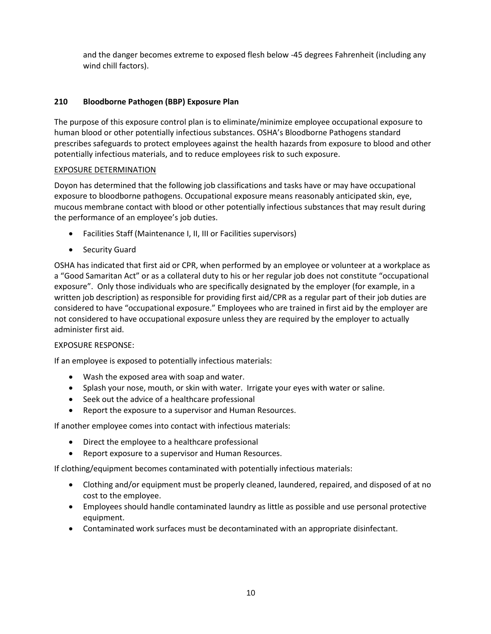and the danger becomes extreme to exposed flesh below -45 degrees Fahrenheit (including any wind chill factors).

# **210 Bloodborne Pathogen (BBP) Exposure Plan**

The purpose of this exposure control plan is to eliminate/minimize employee occupational exposure to human blood or other potentially infectious substances. OSHA's Bloodborne Pathogens standard prescribes safeguards to protect employees against the health hazards from exposure to blood and other potentially infectious materials, and to reduce employees risk to such exposure.

#### EXPOSURE DETERMINATION

Doyon has determined that the following job classifications and tasks have or may have occupational exposure to bloodborne pathogens. Occupational exposure means reasonably anticipated skin, eye, mucous membrane contact with blood or other potentially infectious substances that may result during the performance of an employee's job duties.

- Facilities Staff (Maintenance I, II, III or Facilities supervisors)
- Security Guard

OSHA has indicated that first aid or CPR, when performed by an employee or volunteer at a workplace as a "Good Samaritan Act" or as a collateral duty to his or her regular job does not constitute "occupational exposure". Only those individuals who are specifically designated by the employer (for example, in a written job description) as responsible for providing first aid/CPR as a regular part of their job duties are considered to have "occupational exposure." Employees who are trained in first aid by the employer are not considered to have occupational exposure unless they are required by the employer to actually administer first aid.

#### EXPOSURE RESPONSE:

If an employee is exposed to potentially infectious materials:

- Wash the exposed area with soap and water.
- Splash your nose, mouth, or skin with water. Irrigate your eyes with water or saline.
- Seek out the advice of a healthcare professional
- Report the exposure to a supervisor and Human Resources.

If another employee comes into contact with infectious materials:

- Direct the employee to a healthcare professional
- Report exposure to a supervisor and Human Resources.

If clothing/equipment becomes contaminated with potentially infectious materials:

- Clothing and/or equipment must be properly cleaned, laundered, repaired, and disposed of at no cost to the employee.
- Employees should handle contaminated laundry as little as possible and use personal protective equipment.
- Contaminated work surfaces must be decontaminated with an appropriate disinfectant.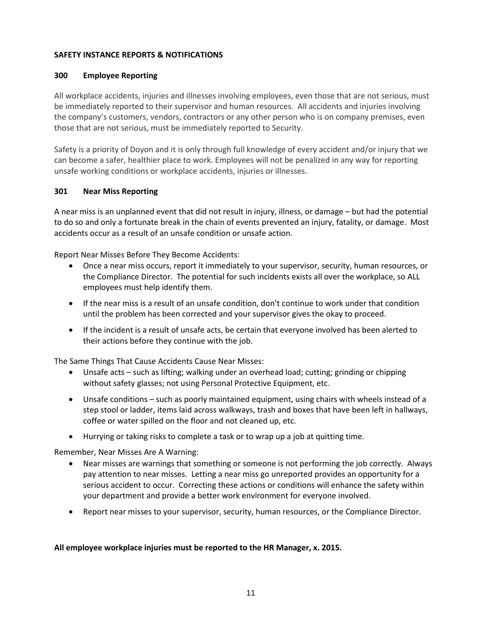#### <span id="page-13-0"></span>**SAFETY INSTANCE REPORTS & NOTIFICATIONS**

# <span id="page-13-1"></span>**300 Employee Reporting**

All workplace accidents, injuries and illnesses involving employees, even those that are not serious, must be immediately reported to their supervisor and human resources. All accidents and injuries involving the company's customers, vendors, contractors or any other person who is on company premises, even those that are not serious, must be immediately reported to Security.

Safety is a priority of Doyon and it is only through full knowledge of every accident and/or injury that we can become a safer, healthier place to work. Employees will not be penalized in any way for reporting unsafe working conditions or workplace accidents, injuries or illnesses.

# <span id="page-13-2"></span>**301 Near Miss Reporting**

A near miss is an unplanned event that did not result in injury, illness, or damage – but had the potential to do so and only a fortunate break in the chain of events prevented an injury, fatality, or damage. Most accidents occur as a result of an unsafe condition or unsafe action.

Report Near Misses Before They Become Accidents:

- Once a near miss occurs, report it immediately to your supervisor, security, human resources, or the Compliance Director. The potential for such incidents exists all over the workplace, so ALL employees must help identify them.
- If the near miss is a result of an unsafe condition, don't continue to work under that condition until the problem has been corrected and your supervisor gives the okay to proceed.
- If the incident is a result of unsafe acts, be certain that everyone involved has been alerted to their actions before they continue with the job.

The Same Things That Cause Accidents Cause Near Misses:

- Unsafe acts such as lifting; walking under an overhead load; cutting; grinding or chipping without safety glasses; not using Personal Protective Equipment, etc.
- Unsafe conditions such as poorly maintained equipment, using chairs with wheels instead of a step stool or ladder, items laid across walkways, trash and boxes that have been left in hallways, coffee or water spilled on the floor and not cleaned up, etc.
- Hurrying or taking risks to complete a task or to wrap up a job at quitting time.

Remember, Near Misses Are A Warning:

- Near misses are warnings that something or someone is not performing the job correctly. Always pay attention to near misses. Letting a near miss go unreported provides an opportunity for a serious accident to occur. Correcting these actions or conditions will enhance the safety within your department and provide a better work environment for everyone involved.
- Report near misses to your supervisor, security, human resources, or the Compliance Director.

#### **All employee workplace injuries must be reported to the HR Manager, x. 2015.**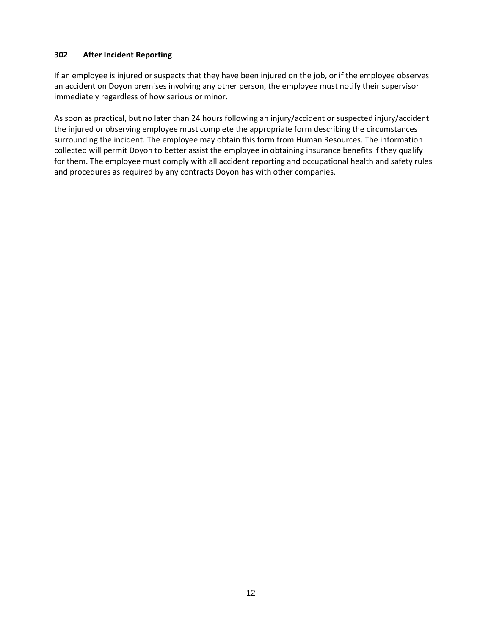## <span id="page-14-0"></span>**302 After Incident Reporting**

If an employee is injured or suspects that they have been injured on the job, or if the employee observes an accident on Doyon premises involving any other person, the employee must notify their supervisor immediately regardless of how serious or minor.

As soon as practical, but no later than 24 hours following an injury/accident or suspected injury/accident the injured or observing employee must complete the appropriate form describing the circumstances surrounding the incident. The employee may obtain this form from Human Resources. The information collected will permit Doyon to better assist the employee in obtaining insurance benefits if they qualify for them. The employee must comply with all accident reporting and occupational health and safety rules and procedures as required by any contracts Doyon has with other companies.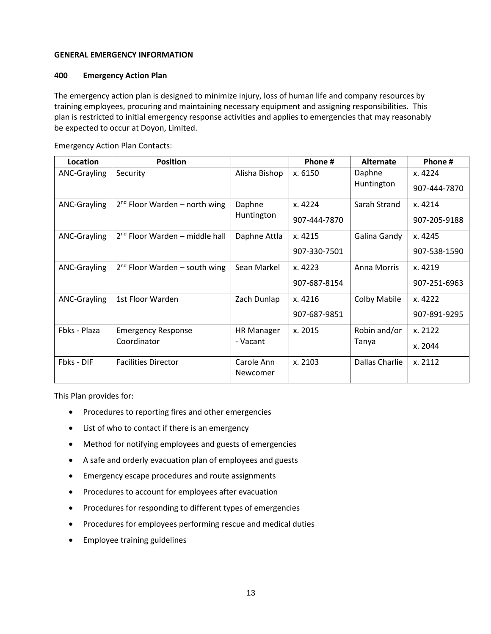#### <span id="page-15-0"></span>**GENERAL EMERGENCY INFORMATION**

#### <span id="page-15-1"></span>**400 Emergency Action Plan**

The emergency action plan is designed to minimize injury, loss of human life and company resources by training employees, procuring and maintaining necessary equipment and assigning responsibilities. This plan is restricted to initial emergency response activities and applies to emergencies that may reasonably be expected to occur at Doyon, Limited.

| Location            | <b>Position</b>                  |                   | Phone #      | Alternate           | Phone #      |
|---------------------|----------------------------------|-------------------|--------------|---------------------|--------------|
| <b>ANC-Grayling</b> | Security                         | Alisha Bishop     | x. 6150      | Daphne              | x. 4224      |
|                     |                                  |                   |              | Huntington          | 907-444-7870 |
| <b>ANC-Grayling</b> | $2nd$ Floor Warden – north wing  | Daphne            | x. 4224      | Sarah Strand        | x. 4214      |
|                     |                                  | Huntington        | 907-444-7870 |                     | 907-205-9188 |
| <b>ANC-Grayling</b> | $2nd$ Floor Warden – middle hall | Daphne Attla      | x. 4215      | Galina Gandy        | x. 4245      |
|                     |                                  |                   | 907-330-7501 |                     | 907-538-1590 |
| ANC-Grayling        | $2nd$ Floor Warden – south wing  | Sean Markel       | x. 4223      | Anna Morris         | x. 4219      |
|                     |                                  |                   | 907-687-8154 |                     | 907-251-6963 |
| ANC-Grayling        | 1st Floor Warden                 | Zach Dunlap       | x. 4216      | <b>Colby Mabile</b> | x. 4222      |
|                     |                                  |                   | 907-687-9851 |                     | 907-891-9295 |
| Fbks - Plaza        | <b>Emergency Response</b>        | <b>HR Manager</b> | x. 2015      | Robin and/or        | x. 2122      |
|                     | Coordinator                      | - Vacant          |              | Tanya               | x. 2044      |
| Fbks - DIF          | <b>Facilities Director</b>       | Carole Ann        | x. 2103      | Dallas Charlie      | x. 2112      |
|                     |                                  | Newcomer          |              |                     |              |

Emergency Action Plan Contacts:

This Plan provides for:

- Procedures to reporting fires and other emergencies
- List of who to contact if there is an emergency
- Method for notifying employees and guests of emergencies
- A safe and orderly evacuation plan of employees and guests
- Emergency escape procedures and route assignments
- Procedures to account for employees after evacuation
- Procedures for responding to different types of emergencies
- Procedures for employees performing rescue and medical duties
- Employee training guidelines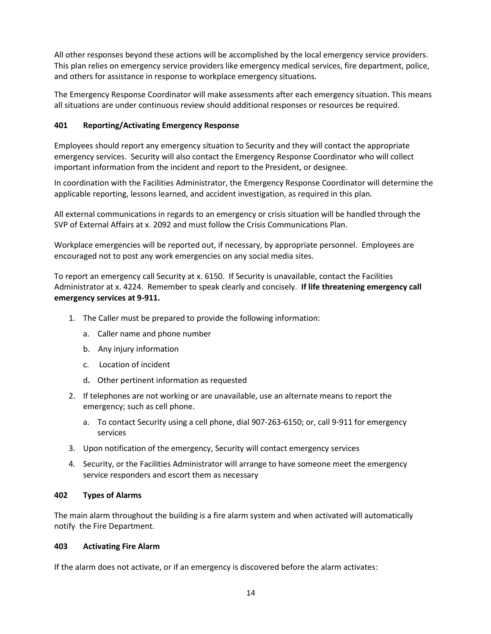All other responses beyond these actions will be accomplished by the local emergency service providers. This plan relies on emergency service providers like emergency medical services, fire department, police, and others for assistance in response to workplace emergency situations.

The Emergency Response Coordinator will make assessments after each emergency situation. This means all situations are under continuous review should additional responses or resources be required.

# <span id="page-16-0"></span>**401 Reporting/Activating Emergency Response**

Employees should report any emergency situation to Security and they will contact the appropriate emergency services. Security will also contact the Emergency Response Coordinator who will collect important information from the incident and report to the President, or designee.

In coordination with the Facilities Administrator, the Emergency Response Coordinator will determine the applicable reporting, lessons learned, and accident investigation, as required in this plan.

All external communications in regards to an emergency or crisis situation will be handled through the SVP of External Affairs at x. 2092 and must follow the Crisis Communications Plan.

Workplace emergencies will be reported out, if necessary, by appropriate personnel. Employees are encouraged not to post any work emergencies on any social media sites.

To report an emergency call Security at x. 6150. If Security is unavailable, contact the Facilities Administrator at x. 4224. Remember to speak clearly and concisely. **If life threatening emergency call emergency services at 9-911.**

- 1. The Caller must be prepared to provide the following information:
	- a. Caller name and phone number
	- b. Any injury information
	- c. Location of incident
	- d**.** Other pertinent information as requested
- 2. If telephones are not working or are unavailable, use an alternate means to report the emergency; such as cell phone.
	- a. To contact Security using a cell phone, dial 907-263-6150; or, call 9-911 for emergency services
- 3. Upon notification of the emergency, Security will contact emergency services
- 4. Security, or the Facilities Administrator will arrange to have someone meet the emergency service responders and escort them as necessary

#### <span id="page-16-1"></span>**402 Types of Alarms**

The main alarm throughout the building is a fire alarm system and when activated will automatically notify the Fire Department.

#### <span id="page-16-2"></span>**403 Activating Fire Alarm**

If the alarm does not activate, or if an emergency is discovered before the alarm activates: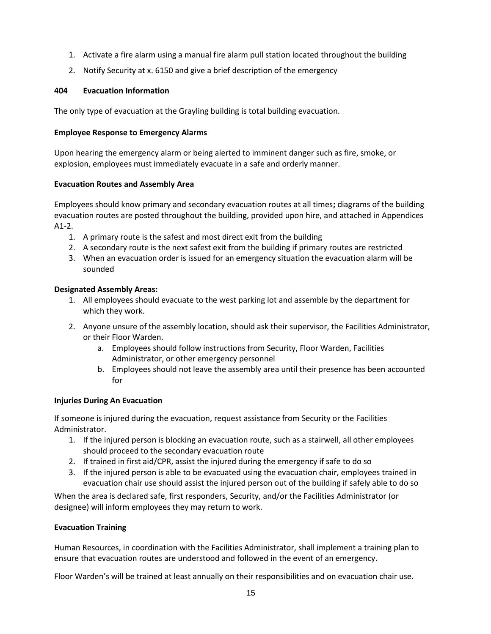- 1. Activate a fire alarm using a manual fire alarm pull station located throughout the building
- 2. Notify Security at x. 6150 and give a brief description of the emergency

#### <span id="page-17-0"></span>**404 Evacuation Information**

The only type of evacuation at the Grayling building is total building evacuation.

#### **Employee Response to Emergency Alarms**

Upon hearing the emergency alarm or being alerted to imminent danger such as fire, smoke, or explosion, employees must immediately evacuate in a safe and orderly manner.

#### **Evacuation Routes and Assembly Area**

Employees should know primary and secondary evacuation routes at all times**;** diagrams of the building evacuation routes are posted throughout the building, provided upon hire, and attached in Appendices A1-2.

- 1. A primary route is the safest and most direct exit from the building
- 2. A secondary route is the next safest exit from the building if primary routes are restricted
- 3. When an evacuation order is issued for an emergency situation the evacuation alarm will be sounded

#### **Designated Assembly Areas:**

- 1. All employees should evacuate to the west parking lot and assemble by the department for which they work.
- 2. Anyone unsure of the assembly location, should ask their supervisor, the Facilities Administrator, or their Floor Warden.
	- a. Employees should follow instructions from Security, Floor Warden, Facilities Administrator, or other emergency personnel
	- b. Employees should not leave the assembly area until their presence has been accounted for

#### **Injuries During An Evacuation**

If someone is injured during the evacuation, request assistance from Security or the Facilities Administrator.

- 1. If the injured person is blocking an evacuation route, such as a stairwell, all other employees should proceed to the secondary evacuation route
- 2. If trained in first aid/CPR, assist the injured during the emergency if safe to do so
- 3. If the injured person is able to be evacuated using the evacuation chair, employees trained in evacuation chair use should assist the injured person out of the building if safely able to do so

When the area is declared safe, first responders, Security, and/or the Facilities Administrator (or designee) will inform employees they may return to work.

#### **Evacuation Training**

Human Resources, in coordination with the Facilities Administrator, shall implement a training plan to ensure that evacuation routes are understood and followed in the event of an emergency.

Floor Warden's will be trained at least annually on their responsibilities and on evacuation chair use.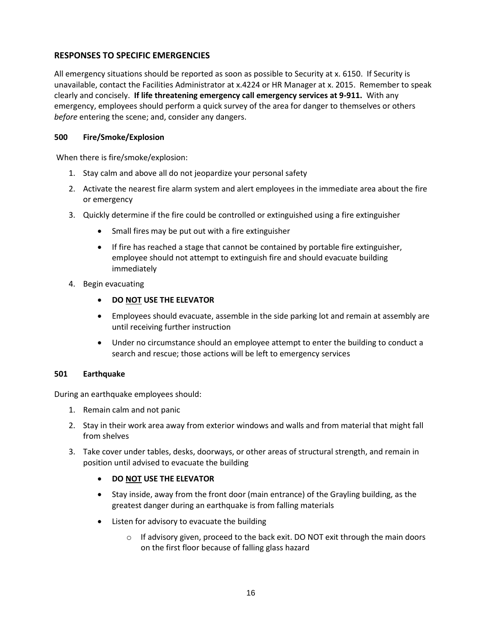# <span id="page-18-0"></span>**RESPONSES TO SPECIFIC EMERGENCIES**

All emergency situations should be reported as soon as possible to Security at x. 6150. If Security is unavailable, contact the Facilities Administrator at x.4224 or HR Manager at x. 2015. Remember to speak clearly and concisely. **If life threatening emergency call emergency services at 9-911.** With any emergency, employees should perform a quick survey of the area for danger to themselves or others *before* entering the scene; and, consider any dangers.

## <span id="page-18-1"></span>**500 Fire/Smoke/Explosion**

When there is fire/smoke/explosion:

- 1. Stay calm and above all do not jeopardize your personal safety
- 2. Activate the nearest fire alarm system and alert employees in the immediate area about the fire or emergency
- 3. Quickly determine if the fire could be controlled or extinguished using a fire extinguisher
	- Small fires may be put out with a fire extinguisher
	- If fire has reached a stage that cannot be contained by portable fire extinguisher, employee should not attempt to extinguish fire and should evacuate building immediately
- 4. Begin evacuating
	- **DO NOT USE THE ELEVATOR**
	- Employees should evacuate, assemble in the side parking lot and remain at assembly are until receiving further instruction
	- Under no circumstance should an employee attempt to enter the building to conduct a search and rescue; those actions will be left to emergency services

#### <span id="page-18-2"></span>**501 Earthquake**

During an earthquake employees should:

- 1. Remain calm and not panic
- 2. Stay in their work area away from exterior windows and walls and from material that might fall from shelves
- 3. Take cover under tables, desks, doorways, or other areas of structural strength, and remain in position until advised to evacuate the building

# • **DO NOT USE THE ELEVATOR**

- Stay inside, away from the front door (main entrance) of the Grayling building, as the greatest danger during an earthquake is from falling materials
- Listen for advisory to evacuate the building
	- $\circ$  If advisory given, proceed to the back exit. DO NOT exit through the main doors on the first floor because of falling glass hazard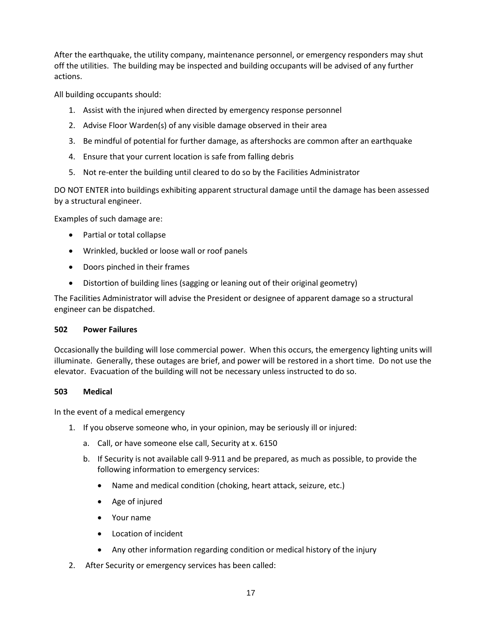After the earthquake, the utility company, maintenance personnel, or emergency responders may shut off the utilities. The building may be inspected and building occupants will be advised of any further actions.

All building occupants should:

- 1. Assist with the injured when directed by emergency response personnel
- 2. Advise Floor Warden(s) of any visible damage observed in their area
- 3. Be mindful of potential for further damage, as aftershocks are common after an earthquake
- 4. Ensure that your current location is safe from falling debris
- 5. Not re-enter the building until cleared to do so by the Facilities Administrator

DO NOT ENTER into buildings exhibiting apparent structural damage until the damage has been assessed by a structural engineer.

Examples of such damage are:

- Partial or total collapse
- Wrinkled, buckled or loose wall or roof panels
- Doors pinched in their frames
- Distortion of building lines (sagging or leaning out of their original geometry)

The Facilities Administrator will advise the President or designee of apparent damage so a structural engineer can be dispatched.

#### <span id="page-19-0"></span>**502 Power Failures**

Occasionally the building will lose commercial power. When this occurs, the emergency lighting units will illuminate. Generally, these outages are brief, and power will be restored in a short time. Do not use the elevator. Evacuation of the building will not be necessary unless instructed to do so.

#### <span id="page-19-1"></span>**503 Medical**

In the event of a medical emergency

- 1. If you observe someone who, in your opinion, may be seriously ill or injured:
	- a. Call, or have someone else call, Security at x. 6150
	- b. If Security is not available call 9-911 and be prepared, as much as possible, to provide the following information to emergency services:
		- Name and medical condition (choking, heart attack, seizure, etc.)
		- Age of injured
		- Your name
		- Location of incident
		- Any other information regarding condition or medical history of the injury
- 2. After Security or emergency services has been called: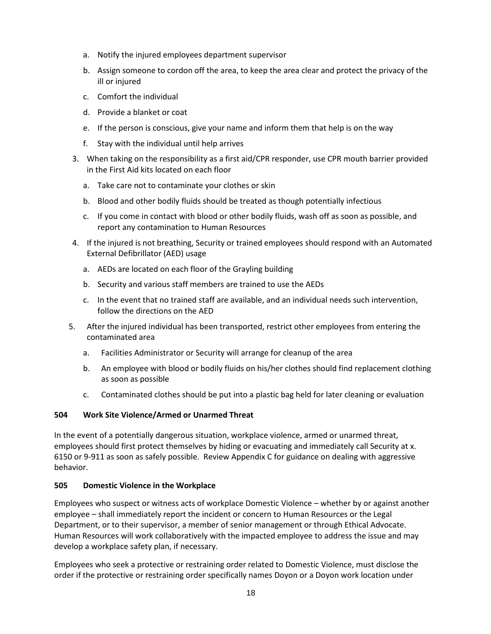- a. Notify the injured employees department supervisor
- b. Assign someone to cordon off the area, to keep the area clear and protect the privacy of the ill or injured
- c. Comfort the individual
- d. Provide a blanket or coat
- e. If the person is conscious, give your name and inform them that help is on the way
- f. Stay with the individual until help arrives
- 3. When taking on the responsibility as a first aid/CPR responder, use CPR mouth barrier provided in the First Aid kits located on each floor
	- a. Take care not to contaminate your clothes or skin
	- b. Blood and other bodily fluids should be treated as though potentially infectious
	- c. If you come in contact with blood or other bodily fluids, wash off as soon as possible, and report any contamination to Human Resources
- 4. If the injured is not breathing, Security or trained employees should respond with an Automated External Defibrillator (AED) usage
	- a. AEDs are located on each floor of the Grayling building
	- b. Security and various staff members are trained to use the AEDs
	- c. In the event that no trained staff are available, and an individual needs such intervention, follow the directions on the AED
- 5. After the injured individual has been transported, restrict other employees from entering the contaminated area
	- a. Facilities Administrator or Security will arrange for cleanup of the area
	- b. An employee with blood or bodily fluids on his/her clothes should find replacement clothing as soon as possible
	- c. Contaminated clothes should be put into a plastic bag held for later cleaning or evaluation

# <span id="page-20-0"></span>**504 Work Site Violence/Armed or Unarmed Threat**

In the event of a potentially dangerous situation, workplace violence, armed or unarmed threat, employees should first protect themselves by hiding or evacuating and immediately call Security at x. 6150 or 9-911 as soon as safely possible. Review Appendix C for guidance on dealing with aggressive behavior.

# **505 Domestic Violence in the Workplace**

Employees who suspect or witness acts of workplace Domestic Violence – whether by or against another employee – shall immediately report the incident or concern to Human Resources or the Legal Department, or to their supervisor, a member of senior management or through Ethical Advocate. Human Resources will work collaboratively with the impacted employee to address the issue and may develop a workplace safety plan, if necessary.

Employees who seek a protective or restraining order related to Domestic Violence, must disclose the order if the protective or restraining order specifically names Doyon or a Doyon work location under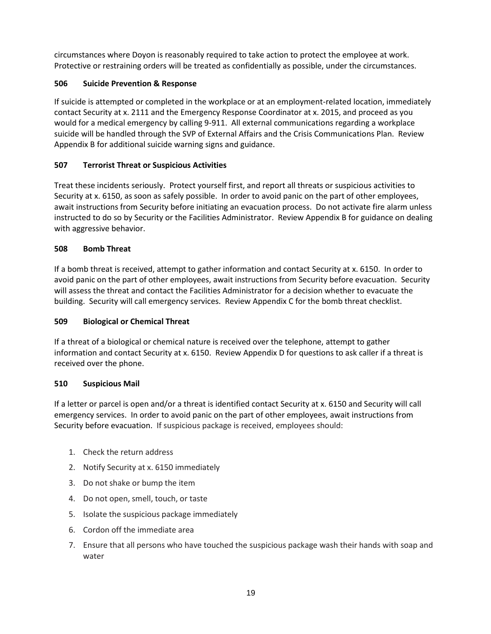circumstances where Doyon is reasonably required to take action to protect the employee at work. Protective or restraining orders will be treated as confidentially as possible, under the circumstances.

# **506 Suicide Prevention & Response**

If suicide is attempted or completed in the workplace or at an employment-related location, immediately contact Security at x. 2111 and the Emergency Response Coordinator at x. 2015, and proceed as you would for a medical emergency by calling 9-911. All external communications regarding a workplace suicide will be handled through the SVP of External Affairs and the Crisis Communications Plan. Review Appendix B for additional suicide warning signs and guidance.

# <span id="page-21-0"></span>**507 Terrorist Threat or Suspicious Activities**

Treat these incidents seriously. Protect yourself first, and report all threats or suspicious activities to Security at x. 6150, as soon as safely possible. In order to avoid panic on the part of other employees, await instructions from Security before initiating an evacuation process. Do not activate fire alarm unless instructed to do so by Security or the Facilities Administrator. Review Appendix B for guidance on dealing with aggressive behavior.

# <span id="page-21-1"></span>**508 Bomb Threat**

If a bomb threat is received, attempt to gather information and contact Security at x. 6150. In order to avoid panic on the part of other employees, await instructions from Security before evacuation. Security will assess the threat and contact the Facilities Administrator for a decision whether to evacuate the building. Security will call emergency services. Review Appendix C for the bomb threat checklist.

# <span id="page-21-2"></span>**509 Biological or Chemical Threat**

If a threat of a biological or chemical nature is received over the telephone, attempt to gather information and contact Security at x. 6150. Review Appendix D for questions to ask caller if a threat is received over the phone.

# <span id="page-21-3"></span>**510 Suspicious Mail**

If a letter or parcel is open and/or a threat is identified contact Security at x. 6150 and Security will call emergency services. In order to avoid panic on the part of other employees, await instructions from Security before evacuation. If suspicious package is received, employees should:

- 1. Check the return address
- 2. Notify Security at x. 6150 immediately
- 3. Do not shake or bump the item
- 4. Do not open, smell, touch, or taste
- 5. Isolate the suspicious package immediately
- 6. Cordon off the immediate area
- 7. Ensure that all persons who have touched the suspicious package wash their hands with soap and water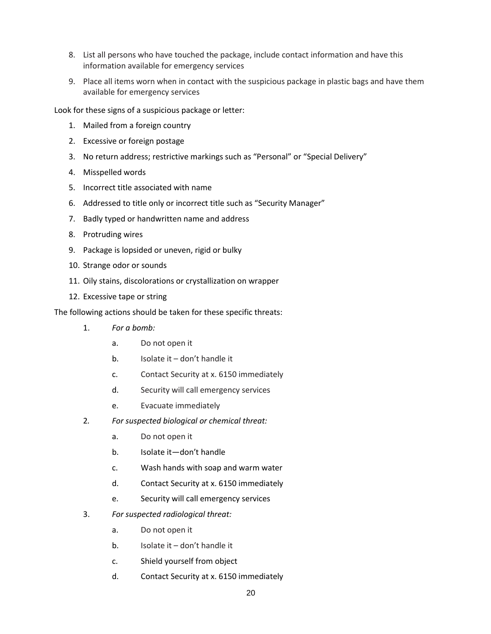- 8. List all persons who have touched the package, include contact information and have this information available for emergency services
- 9. Place all items worn when in contact with the suspicious package in plastic bags and have them available for emergency services

Look for these signs of a suspicious package or letter:

- 1. Mailed from a foreign country
- 2. Excessive or foreign postage
- 3. No return address; restrictive markings such as "Personal" or "Special Delivery"
- 4. Misspelled words
- 5. Incorrect title associated with name
- 6. Addressed to title only or incorrect title such as "Security Manager"
- 7. Badly typed or handwritten name and address
- 8. Protruding wires
- 9. Package is lopsided or uneven, rigid or bulky
- 10. Strange odor or sounds
- 11. Oily stains, discolorations or crystallization on wrapper
- 12. Excessive tape or string

The following actions should be taken for these specific threats:

- 1. *For a bomb:*
	- a. Do not open it
	- b. Isolate it don't handle it
	- c. Contact Security at x. 6150 immediately
	- d. Security will call emergency services
	- e. Evacuate immediately
- 2*. For suspected biological or chemical threat:*
	- a. Do not open it
	- b. Isolate it—don't handle
	- c. Wash hands with soap and warm water
	- d. Contact Security at x. 6150 immediately
	- e. Security will call emergency services
- 3. *For suspected radiological threat:*
	- a. Do not open it
	- b. Isolate it don't handle it
	- c. Shield yourself from object
	- d. Contact Security at x. 6150 immediately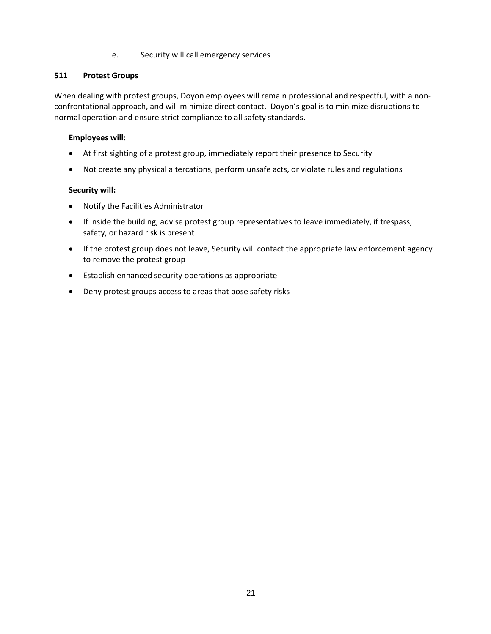#### e. Security will call emergency services

## <span id="page-23-0"></span>**511 Protest Groups**

When dealing with protest groups, Doyon employees will remain professional and respectful, with a nonconfrontational approach, and will minimize direct contact. Doyon's goal is to minimize disruptions to normal operation and ensure strict compliance to all safety standards.

# **Employees will:**

- At first sighting of a protest group, immediately report their presence to Security
- Not create any physical altercations, perform unsafe acts, or violate rules and regulations

# **Security will:**

- Notify the Facilities Administrator
- If inside the building, advise protest group representatives to leave immediately, if trespass, safety, or hazard risk is present
- If the protest group does not leave, Security will contact the appropriate law enforcement agency to remove the protest group
- Establish enhanced security operations as appropriate
- Deny protest groups access to areas that pose safety risks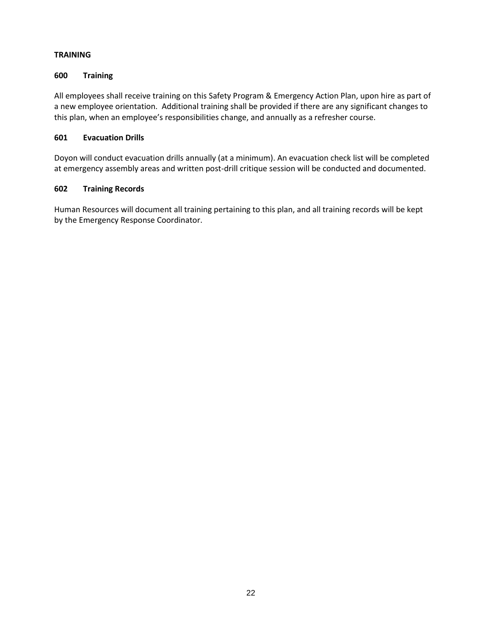# <span id="page-24-0"></span>**TRAINING**

# <span id="page-24-1"></span>**600 Training**

All employees shall receive training on this Safety Program & Emergency Action Plan, upon hire as part of a new employee orientation. Additional training shall be provided if there are any significant changes to this plan, when an employee's responsibilities change, and annually as a refresher course.

# <span id="page-24-2"></span>**601 Evacuation Drills**

Doyon will conduct evacuation drills annually (at a minimum). An evacuation check list will be completed at emergency assembly areas and written post-drill critique session will be conducted and documented.

# <span id="page-24-3"></span>**602 Training Records**

Human Resources will document all training pertaining to this plan, and all training records will be kept by the Emergency Response Coordinator.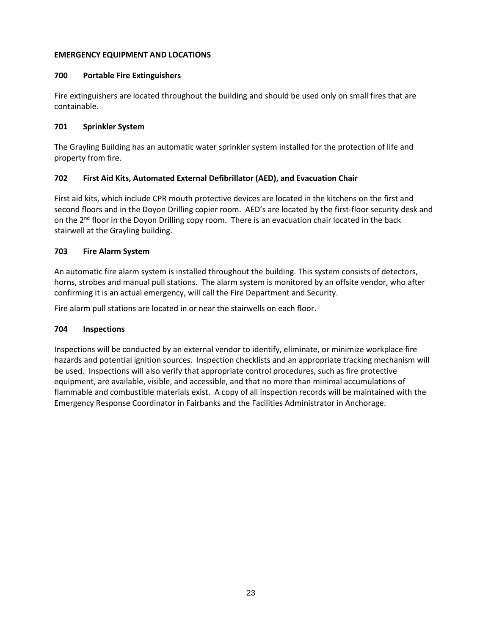## <span id="page-25-0"></span>**EMERGENCY EQUIPMENT AND LOCATIONS**

# <span id="page-25-1"></span>**700 Portable Fire Extinguishers**

Fire extinguishers are located throughout the building and should be used only on small fires that are containable.

# <span id="page-25-2"></span>**701 Sprinkler System**

The Grayling Building has an automatic water sprinkler system installed for the protection of life and property from fire.

# <span id="page-25-3"></span>**702 First Aid Kits, Automated External Defibrillator (AED), and Evacuation Chair**

First aid kits, which include CPR mouth protective devices are located in the kitchens on the first and second floors and in the Doyon Drilling copier room. AED's are located by the first-floor security desk and on the 2<sup>nd</sup> floor in the Doyon Drilling copy room. There is an evacuation chair located in the back stairwell at the Grayling building.

# <span id="page-25-4"></span>**703 Fire Alarm System**

An automatic fire alarm system is installed throughout the building. This system consists of detectors, horns, strobes and manual pull stations. The alarm system is monitored by an offsite vendor, who after confirming it is an actual emergency, will call the Fire Department and Security.

Fire alarm pull stations are located in or near the stairwells on each floor.

# <span id="page-25-5"></span>**704 Inspections**

Inspections will be conducted by an external vendor to identify, eliminate, or minimize workplace fire hazards and potential ignition sources. Inspection checklists and an appropriate tracking mechanism will be used. Inspections will also verify that appropriate control procedures, such as fire protective equipment, are available, visible, and accessible, and that no more than minimal accumulations of flammable and combustible materials exist. A copy of all inspection records will be maintained with the Emergency Response Coordinator in Fairbanks and the Facilities Administrator in Anchorage.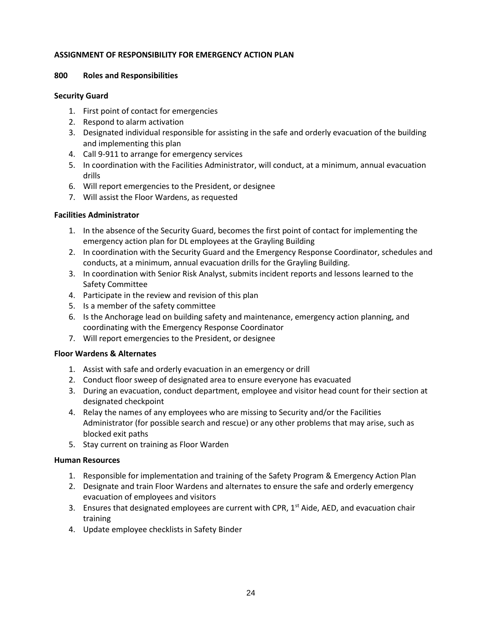#### <span id="page-26-0"></span>**ASSIGNMENT OF RESPONSIBILITY FOR EMERGENCY ACTION PLAN**

#### <span id="page-26-1"></span>**800 Roles and Responsibilities**

#### **Security Guard**

- 1. First point of contact for emergencies
- 2. Respond to alarm activation
- 3. Designated individual responsible for assisting in the safe and orderly evacuation of the building and implementing this plan
- 4. Call 9-911 to arrange for emergency services
- 5. In coordination with the Facilities Administrator, will conduct, at a minimum, annual evacuation drills
- 6. Will report emergencies to the President, or designee
- 7. Will assist the Floor Wardens, as requested

# **Facilities Administrator**

- 1. In the absence of the Security Guard, becomes the first point of contact for implementing the emergency action plan for DL employees at the Grayling Building
- 2. In coordination with the Security Guard and the Emergency Response Coordinator, schedules and conducts, at a minimum, annual evacuation drills for the Grayling Building.
- 3. In coordination with Senior Risk Analyst, submits incident reports and lessons learned to the Safety Committee
- 4. Participate in the review and revision of this plan
- 5. Is a member of the safety committee
- 6. Is the Anchorage lead on building safety and maintenance, emergency action planning, and coordinating with the Emergency Response Coordinator
- 7. Will report emergencies to the President, or designee

#### **Floor Wardens & Alternates**

- 1. Assist with safe and orderly evacuation in an emergency or drill
- 2. Conduct floor sweep of designated area to ensure everyone has evacuated
- 3. During an evacuation, conduct department, employee and visitor head count for their section at designated checkpoint
- 4. Relay the names of any employees who are missing to Security and/or the Facilities Administrator (for possible search and rescue) or any other problems that may arise, such as blocked exit paths
- 5. Stay current on training as Floor Warden

#### **Human Resources**

- 1. Responsible for implementation and training of the Safety Program & Emergency Action Plan
- 2. Designate and train Floor Wardens and alternates to ensure the safe and orderly emergency evacuation of employees and visitors
- 3. Ensures that designated employees are current with CPR, 1<sup>st</sup> Aide, AED, and evacuation chair training
- 4. Update employee checklists in Safety Binder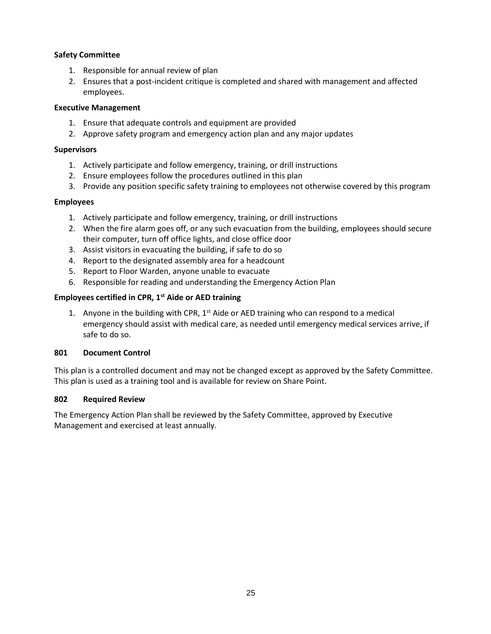# **Safety Committee**

- 1. Responsible for annual review of plan
- 2. Ensures that a post-incident critique is completed and shared with management and affected employees.

## **Executive Management**

- 1. Ensure that adequate controls and equipment are provided
- 2. Approve safety program and emergency action plan and any major updates

#### **Supervisors**

- 1. Actively participate and follow emergency, training, or drill instructions
- 2. Ensure employees follow the procedures outlined in this plan
- 3. Provide any position specific safety training to employees not otherwise covered by this program

#### **Employees**

- 1. Actively participate and follow emergency, training, or drill instructions
- 2. When the fire alarm goes off, or any such evacuation from the building, employees should secure their computer, turn off office lights, and close office door
- 3. Assist visitors in evacuating the building, if safe to do so
- 4. Report to the designated assembly area for a headcount
- 5. Report to Floor Warden, anyone unable to evacuate
- 6. Responsible for reading and understanding the Emergency Action Plan

# **Employees certified in CPR, 1st Aide or AED training**

1. Anyone in the building with CPR,  $1^{st}$  Aide or AED training who can respond to a medical emergency should assist with medical care, as needed until emergency medical services arrive, if safe to do so.

#### **801 Document Control**

This plan is a controlled document and may not be changed except as approved by the Safety Committee. This plan is used as a training tool and is available for review on Share Point.

#### **802 Required Review**

The Emergency Action Plan shall be reviewed by the Safety Committee, approved by Executive Management and exercised at least annually.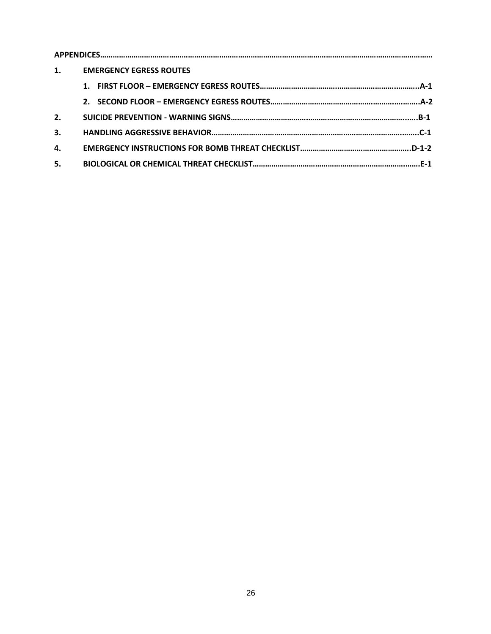| 1. | <b>EMERGENCY EGRESS ROUTES</b> |  |
|----|--------------------------------|--|
|    | 1.                             |  |
|    |                                |  |
| 2. |                                |  |
| 3. |                                |  |
| 4. |                                |  |
| 5. |                                |  |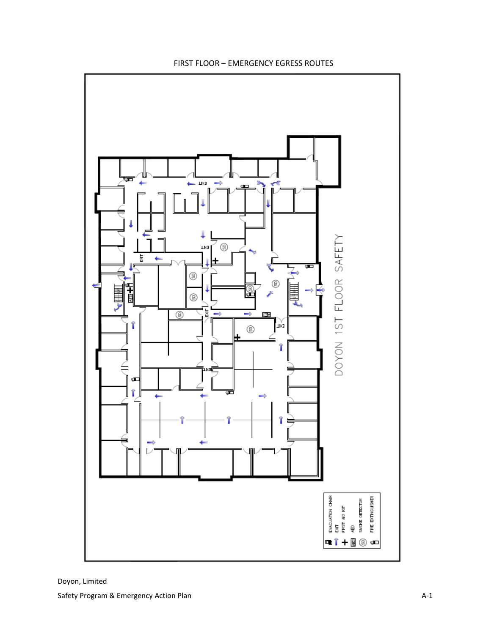

# FIRST FLOOR – EMERGENCY EGRESS ROUTES

Doyon, Limited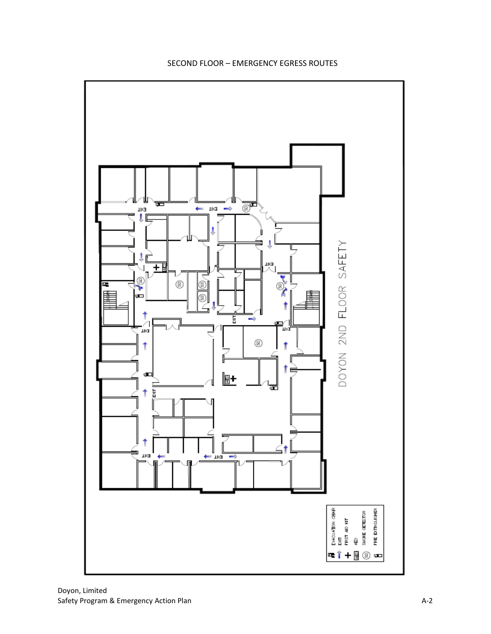

# SECOND FLOOR – EMERGENCY EGRESS ROUTES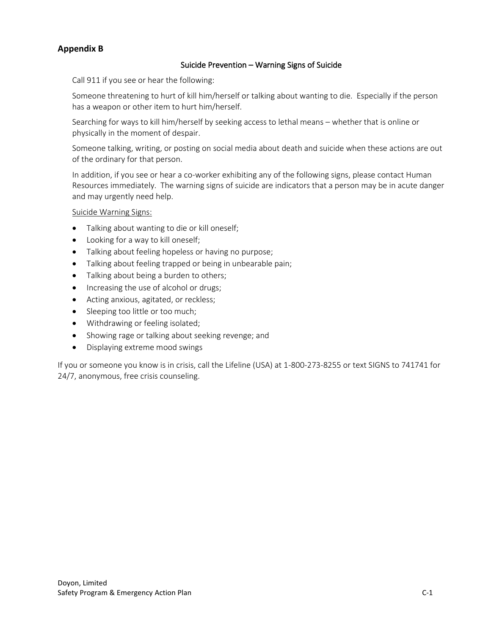# **Appendix B**

# Suicide Prevention – Warning Signs of Suicide

Call 911 if you see or hear the following:

Someone threatening to hurt of kill him/herself or talking about wanting to die. Especially if the person has a weapon or other item to hurt him/herself.

Searching for ways to kill him/herself by seeking access to lethal means – whether that is online or physically in the moment of despair.

Someone talking, writing, or posting on social media about death and suicide when these actions are out of the ordinary for that person.

In addition, if you see or hear a co-worker exhibiting any of the following signs, please contact Human Resources immediately. The warning signs of suicide are indicators that a person may be in acute danger and may urgently need help.

Suicide Warning Signs:

- Talking about wanting to die or kill oneself;
- Looking for a way to kill oneself;
- Talking about feeling hopeless or having no purpose;
- Talking about feeling trapped or being in unbearable pain;
- Talking about being a burden to others;
- Increasing the use of alcohol or drugs;
- Acting anxious, agitated, or reckless;
- Sleeping too little or too much;
- Withdrawing or feeling isolated;
- Showing rage or talking about seeking revenge; and
- Displaying extreme mood swings

If you or someone you know is in crisis, call the Lifeline (USA) at 1-800-273-8255 or text SIGNS to 741741 for 24/7, anonymous, free crisis counseling.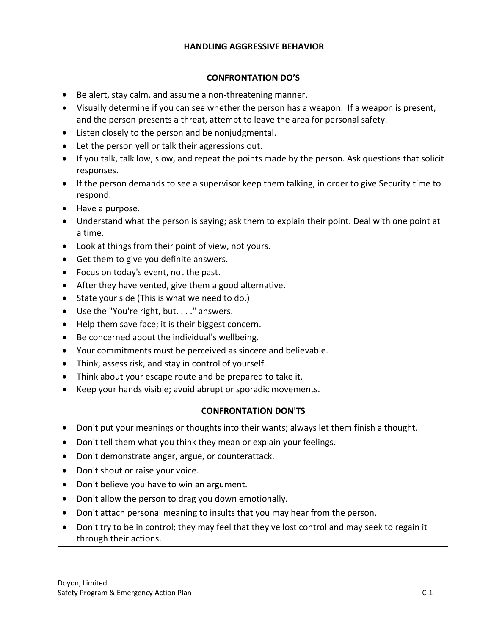# **CONFRONTATION DO'S**

- Be alert, stay calm, and assume a non-threatening manner.
- Visually determine if you can see whether the person has a weapon. If a weapon is present, and the person presents a threat, attempt to leave the area for personal safety.
- Listen closely to the person and be nonjudgmental.
- Let the person yell or talk their aggressions out.
- If you talk, talk low, slow, and repeat the points made by the person. Ask questions that solicit responses.
- If the person demands to see a supervisor keep them talking, in order to give Security time to respond.
- Have a purpose.
- Understand what the person is saying; ask them to explain their point. Deal with one point at a time.
- Look at things from their point of view, not yours.
- Get them to give you definite answers.
- Focus on today's event, not the past.
- After they have vented, give them a good alternative.
- State your side (This is what we need to do.)
- Use the "You're right, but. . . ." answers.
- Help them save face; it is their biggest concern.
- Be concerned about the individual's wellbeing.
- Your commitments must be perceived as sincere and believable.
- Think, assess risk, and stay in control of yourself.
- Think about your escape route and be prepared to take it.
- Keep your hands visible; avoid abrupt or sporadic movements.

# **CONFRONTATION DON'TS**

- Don't put your meanings or thoughts into their wants; always let them finish a thought.
- Don't tell them what you think they mean or explain your feelings.
- Don't demonstrate anger, argue, or counterattack.
- Don't shout or raise your voice.
- Don't believe you have to win an argument.
- Don't allow the person to drag you down emotionally.
- Don't attach personal meaning to insults that you may hear from the person.
- Don't try to be in control; they may feel that they've lost control and may seek to regain it through their actions.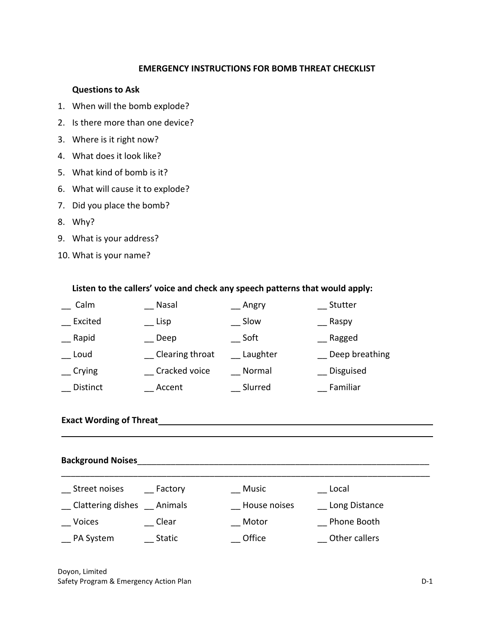# **EMERGENCY INSTRUCTIONS FOR BOMB THREAT CHECKLIST**

#### **Questions to Ask**

- 1. When will the bomb explode?
- 2. Is there more than one device?
- 3. Where is it right now?
- 4. What does it look like?
- 5. What kind of bomb is it?
- 6. What will cause it to explode?
- 7. Did you place the bomb?
- 8. Why?
- 9. What is your address?
- 10. What is your name?

# **Listen to the callers' voice and check any speech patterns that would apply:**

| Calm            | Nasal           | _ Angry  | Stutter        |
|-----------------|-----------------|----------|----------------|
| Excited         | $\_$ Lisp       | Slow     | Raspy          |
| Rapid           | Deep            | Soft     | Ragged         |
| Loud            | Clearing throat | Laughter | Deep breathing |
| $_{\rm crying}$ | Cracked voice   | Normal   | Disguised      |
| Distinct        | Accent          | Slurred  | Familiar       |

# **Exact Wording of Threat**

# **Background Noises**\_\_\_\_\_\_\_\_\_\_\_\_\_\_\_\_\_\_\_\_\_\_\_\_\_\_\_\_\_\_\_\_\_\_\_\_\_\_\_\_\_\_\_\_\_\_\_\_\_\_\_\_\_\_\_\_\_\_\_\_\_

| Street noises     | Factory       | Music        | Local         |  |
|-------------------|---------------|--------------|---------------|--|
| Clattering dishes | Animals       | House noises | Long Distance |  |
| <b>Voices</b>     | Clear         | Motor        | Phone Booth   |  |
| PA System         | <b>Static</b> | Office       | Other callers |  |

Doyon, Limited Safety Program & Emergency Action Plan D-1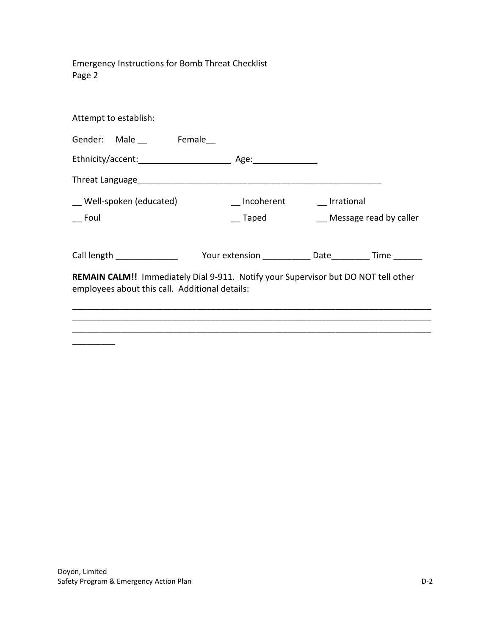Emergency Instructions for Bomb Threat Checklist Page 2

| Attempt to establish:                                                                                                                                                                                                          |                       |                        |  |  |
|--------------------------------------------------------------------------------------------------------------------------------------------------------------------------------------------------------------------------------|-----------------------|------------------------|--|--|
| Gender: Male __ Female                                                                                                                                                                                                         |                       |                        |  |  |
|                                                                                                                                                                                                                                |                       |                        |  |  |
| Threat Language and the contract of the contract of the contract of the contract of the contract of the contract of the contract of the contract of the contract of the contract of the contract of the contract of the contra |                       |                        |  |  |
| Well-spoken (educated)                                                                                                                                                                                                         | Incoherent Irrational |                        |  |  |
| Foul                                                                                                                                                                                                                           | <b>Taped</b>          | Message read by caller |  |  |
|                                                                                                                                                                                                                                |                       |                        |  |  |
|                                                                                                                                                                                                                                |                       |                        |  |  |
| REMAIN CALM!! Immediately Dial 9-911. Notify your Supervisor but DO NOT tell other<br>employees about this call. Additional details:                                                                                           |                       |                        |  |  |
|                                                                                                                                                                                                                                |                       |                        |  |  |
|                                                                                                                                                                                                                                |                       |                        |  |  |
|                                                                                                                                                                                                                                |                       |                        |  |  |